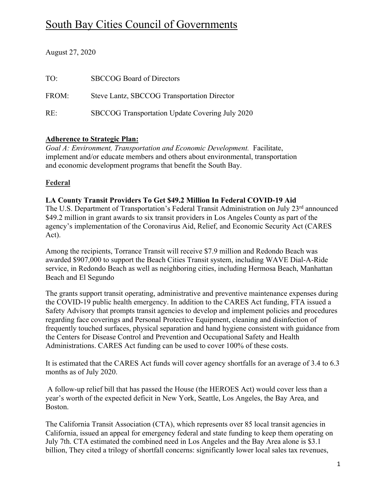# South Bay Cities Council of Governments

August 27, 2020

| TO:   | <b>SBCCOG Board of Directors</b>                |
|-------|-------------------------------------------------|
| FROM: | Steve Lantz, SBCCOG Transportation Director     |
| RE:   | SBCCOG Transportation Update Covering July 2020 |

## **Adherence to Strategic Plan:**

*Goal A: Environment, Transportation and Economic Development.* Facilitate, implement and/or educate members and others about environmental, transportation and economic development programs that benefit the South Bay.

# **Federal**

## **LA County Transit Providers To Get \$49.2 Million In Federal COVID-19 Aid**

The U.S. Department of Transportation's Federal Transit Administration on July 23<sup>rd</sup> announced \$49.2 million in grant awards to six transit providers in Los Angeles County as part of the agency's implementation of the Coronavirus Aid, Relief, and Economic Security Act (CARES Act).

Among the recipients, Torrance Transit will receive \$7.9 million and Redondo Beach was awarded \$907,000 to support the Beach Cities Transit system, including WAVE Dial-A-Ride service, in Redondo Beach as well as neighboring cities, including Hermosa Beach, Manhattan Beach and El Segundo

The grants support transit operating, administrative and preventive maintenance expenses during the COVID-19 public health emergency. In addition to the CARES Act funding, FTA issued a Safety Advisory that prompts transit agencies to develop and implement policies and procedures regarding face coverings and Personal Protective Equipment, cleaning and disinfection of frequently touched surfaces, physical separation and hand hygiene consistent with guidance from the Centers for Disease Control and Prevention and Occupational Safety and Health Administrations. CARES Act funding can be used to cover 100% of these costs.

It is estimated that the CARES Act funds will cover agency shortfalls for an average of 3.4 to 6.3 months as of July 2020.

A follow-up relief bill that has passed the House (the HEROES Act) would cover less than a year's worth of the expected deficit in New York, Seattle, Los Angeles, the Bay Area, and Boston.

The California Transit Association (CTA), which represents over 85 local transit agencies in California, issued an appeal for emergency federal and state funding to keep them operating on July 7th. CTA estimated the combined need in Los Angeles and the Bay Area alone is \$3.1 billion, They cited a trilogy of shortfall concerns: significantly lower local sales tax revenues,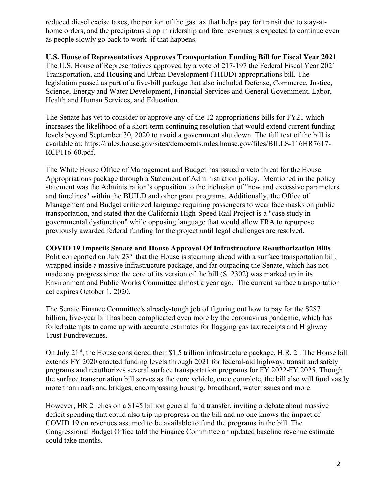reduced diesel excise taxes, the portion of the gas tax that helps pay for transit due to stay-athome orders, and the precipitous drop in ridership and fare revenues is expected to continue even as people slowly go back to work–if that happens.

#### **U.S. House of Representatives Approves Transportation Funding Bill for Fiscal Year 2021**

The U.S. House of Representatives approved by a vote of 217-197 the Federal Fiscal Year 2021 Transportation, and Housing and Urban Development (THUD) appropriations bill. The legislation passed as part of a five-bill package that also included Defense, Commerce, Justice, Science, Energy and Water Development, Financial Services and General Government, Labor, Health and Human Services, and Education.

The Senate has yet to consider or approve any of the 12 appropriations bills for FY21 which increases the likelihood of a short-term continuing resolution that would extend current funding levels beyond September 30, 2020 to avoid a government shutdown. The full text of the bill is available at: https://rules.house.gov/sites/democrats.rules.house.gov/files/BILLS-116HR7617- RCP116-60.pdf.

The White House Office of Management and Budget has issued a veto threat for the House Appropriations package through a Statement of Administration policy. Mentioned in the policy statement was the Administration's opposition to the inclusion of "new and excessive parameters and timelines" within the BUILD and other grant programs. Additionally, the Office of Management and Budget criticized language requiring passengers to wear face masks on public transportation, and stated that the California High-Speed Rail Project is a "case study in governmental dysfunction" while opposing language that would allow FRA to repurpose previously awarded federal funding for the project until legal challenges are resolved.

#### **COVID 19 Imperils Senate and House Approval Of Infrastructure Reauthorization Bills**

Politico reported on July 23<sup>rd</sup> that the House is steaming ahead with a surface transportation bill, wrapped inside a massive infrastructure package, and far outpacing the Senate, which has not made any progress since the core of its version of the bill (S. 2302) was marked up in its Environment and Public Works Committee almost a year ago. The current surface transportation act expires October 1, 2020.

The Senate Finance Committee's already-tough job of figuring out how to pay for the \$287 billion, five-year bill has been complicated even more by the coronavirus pandemic, which has foiled attempts to come up with accurate estimates for flagging gas tax receipts and Highway Trust Fundrevenues.

On July 21<sup>st</sup>, the House considered their \$1.5 trillion infrastructure package, H.R. 2. The House bill extends FY 2020 enacted funding levels through 2021 for federal-aid highway, transit and safety programs and reauthorizes several surface transportation programs for FY 2022-FY 2025. Though the surface transportation bill serves as the core vehicle, once complete, the bill also will fund vastly more than roads and bridges, encompassing housing, broadband, water issues and more.

However, HR 2 relies on a \$145 billion general fund transfer, inviting a debate about massive deficit spending that could also trip up progress on the bill and no one knows the impact of COVID 19 on revenues assumed to be available to fund the programs in the bill. The Congressional Budget Office told the Finance Committee an updated baseline revenue estimate could take months.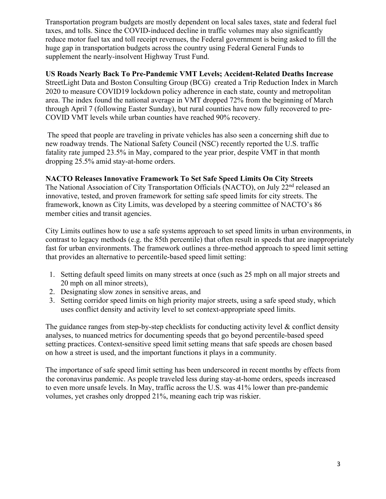Transportation program budgets are mostly dependent on local sales taxes, state and federal fuel taxes, and tolls. Since the COVID-induced decline in traffic volumes may also significantly reduce motor fuel tax and toll receipt revenues, the Federal government is being asked to fill the huge gap in transportation budgets across the country using Federal General Funds to supplement the nearly-insolvent Highway Trust Fund.

## **US Roads Nearly Back To Pre-Pandemic VMT Levels; Accident-Related Deaths Increase**

StreetLight Data and Boston Consulting Group (BCG) created a Trip Reduction Index in March 2020 to measure COVID19 lockdown policy adherence in each state, county and metropolitan area. The index found the national average in VMT dropped 72% from the beginning of March through April 7 (following Easter Sunday), but rural counties have now fully recovered to pre-COVID VMT levels while urban counties have reached 90% recovery.

The speed that people are traveling in private vehicles has also seen a concerning shift due to new roadway trends. The National Safety Council (NSC) recently reported the U.S. traffic fatality rate jumped 23.5% in May, compared to the year prior, despite VMT in that month dropping 25.5% amid stay-at-home orders.

#### **NACTO Releases Innovative Framework To Set Safe Speed Limits On City Streets**

The National Association of City Transportation Officials (NACTO), on July 22<sup>nd</sup> released an innovative, tested, and proven framework for setting safe speed limits for city streets. The framework, known as City Limits, was developed by a steering committee of NACTO's 86 member cities and transit agencies.

City Limits outlines how to use a safe systems approach to set speed limits in urban environments, in contrast to legacy methods (e.g. the 85th percentile) that often result in speeds that are inappropriately fast for urban environments. The framework outlines a three-method approach to speed limit setting that provides an alternative to percentile-based speed limit setting:

- 1. Setting default speed limits on many streets at once (such as 25 mph on all major streets and 20 mph on all minor streets),
- 2. Designating slow zones in sensitive areas, and
- 3. Setting corridor speed limits on high priority major streets, using a safe speed study, which uses conflict density and activity level to set context-appropriate speed limits.

The guidance ranges from step-by-step checklists for conducting activity level  $\&$  conflict density analyses, to nuanced metrics for documenting speeds that go beyond percentile-based speed setting practices. Context-sensitive speed limit setting means that safe speeds are chosen based on how a street is used, and the important functions it plays in a community.

The importance of safe speed limit setting has been underscored in recent months by effects from the coronavirus pandemic. As people traveled less during stay-at-home orders, speeds increased to even more unsafe levels. In May, traffic across the U.S. was 41% lower than pre-pandemic volumes, yet crashes only dropped 21%, meaning each trip was riskier.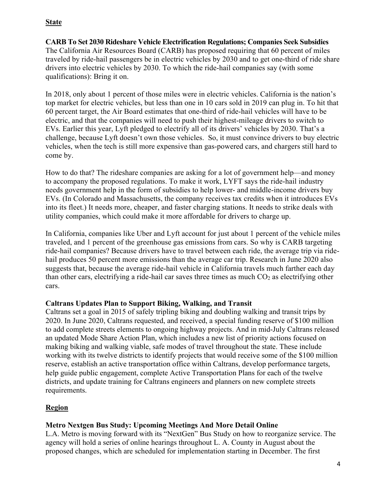## **State**

**CARB To Set 2030 Rideshare Vehicle Electrification Regulations; Companies Seek Subsidies** The California Air Resources Board (CARB) has proposed requiring that 60 percent of miles traveled by ride-hail passengers be in electric vehicles by 2030 and to get one-third of ride share drivers into electric vehicles by 2030. To which the ride-hail companies say (with some qualifications): Bring it on.

In 2018, only about 1 percent of those miles were in electric vehicles. California is the nation's top market for electric vehicles, but less than one in 10 cars sold in 2019 can plug in. To hit that 60 percent target, the Air Board estimates that one-third of ride-hail vehicles will have to be electric, and that the companies will need to push their highest-mileage drivers to switch to EVs. Earlier this year, Lyft pledged to electrify all of its drivers' vehicles by 2030. That's a challenge, because Lyft doesn't own those vehicles. So, it must convince drivers to buy electric vehicles, when the tech is still more expensive than gas-powered cars, and chargers still hard to come by.

How to do that? The rideshare companies are asking for a lot of government help—and money to accompany the proposed regulations. To make it work, LYFT says the ride-hail industry needs government help in the form of subsidies to help lower- and middle-income drivers buy EVs. (In Colorado and Massachusetts, the company receives tax credits when it introduces EVs into its fleet.) It needs more, cheaper, and faster charging stations. It needs to strike deals with utility companies, which could make it more affordable for drivers to charge up.

In California, companies like Uber and Lyft account for just about 1 percent of the vehicle miles traveled, and 1 percent of the greenhouse gas emissions from cars. So why is CARB targeting ride-hail companies? Because drivers have to travel between each ride, the average trip via ridehail produces 50 percent more emissions than the average car trip. Research in June 2020 also suggests that, because the average ride-hail vehicle in California travels much farther each day than other cars, electrifying a ride-hail car saves three times as much  $CO<sub>2</sub>$  as electrifying other cars.

#### **Caltrans Updates Plan to Support Biking, Walking, and Transit**

Caltrans set a goal in 2015 of safely tripling biking and doubling walking and transit trips by 2020. In June 2020, Caltrans requested, and received, a special funding reserve of \$100 million to add complete streets elements to ongoing highway projects. And in mid-July Caltrans released an updated Mode Share Action Plan, which includes a new list of priority actions focused on making biking and walking viable, safe modes of travel throughout the state. These include working with its twelve districts to identify projects that would receive some of the \$100 million reserve, establish an active transportation office within Caltrans, develop performance targets, help guide public engagement, complete Active Transportation Plans for each of the twelve districts, and update training for Caltrans engineers and planners on new complete streets requirements.

# **Region**

# **Metro Nextgen Bus Study: Upcoming Meetings And More Detail Online**

L.A. Metro is moving forward with its "NextGen" Bus Study on how to reorganize service. The agency will hold a series of online hearings throughout L. A. County in August about the proposed changes, which are scheduled for implementation starting in December. The first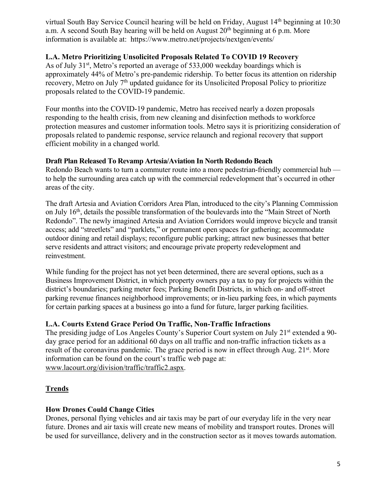virtual South Bay Service Council hearing will be held on Friday, August 14<sup>th</sup> beginning at 10:30 a.m. A second South Bay hearing will be held on August  $20<sup>th</sup>$  beginning at 6 p.m. More information is available at: https://www.metro.net/projects/nextgen/events/

### **L.A. Metro Prioritizing Unsolicited Proposals Related To COVID 19 Recovery**

As of July 31<sup>st</sup>, Metro's reported an average of 533,000 weekday boardings which is approximately 44% of Metro's pre-pandemic ridership. To better focus its attention on ridership recovery, Metro on July 7th updated guidance for its Unsolicited Proposal Policy to prioritize proposals related to the COVID-19 pandemic.

Four months into the COVID-19 pandemic, Metro has received nearly a dozen proposals responding to the health crisis, from new cleaning and disinfection methods to workforce protection measures and customer information tools. Metro says it is prioritizing consideration of proposals related to pandemic response, service relaunch and regional recovery that support efficient mobility in a changed world.

## **Draft Plan Released To Revamp Artesia/Aviation In North Redondo Beach**

Redondo Beach wants to turn a commuter route into a more pedestrian-friendly commercial hub to help the surrounding area catch up with the commercial redevelopment that's occurred in other areas of the city.

The draft Artesia and Aviation Corridors Area Plan, introduced to the city's Planning Commission on July 16<sup>th</sup>, details the possible transformation of the boulevards into the "Main Street of North Redondo". The newly imagined Artesia and Aviation Corridors would improve bicycle and transit access; add "streetlets" and "parklets," or permanent open spaces for gathering; accommodate outdoor dining and retail displays; reconfigure public parking; attract new businesses that better serve residents and attract visitors; and encourage private property redevelopment and reinvestment.

While funding for the project has not yet been determined, there are several options, such as a Business Improvement District, in which property owners pay a tax to pay for projects within the district's boundaries; parking meter fees; Parking Benefit Districts, in which on- and off-street parking revenue finances neighborhood improvements; or in-lieu parking fees, in which payments for certain parking spaces at a business go into a fund for future, larger parking facilities.

# **L.A. Courts Extend Grace Period On Traffic, Non-Traffic Infractions**

The presiding judge of Los Angeles County's Superior Court system on July 21<sup>st</sup> extended a 90day grace period for an additional 60 days on all traffic and non-traffic infraction tickets as a result of the coronavirus pandemic. The grace period is now in effect through Aug. 21st. More information can be found on the court's traffic web page at: www.lacourt.org/division/traffic/traffic2.aspx.

# **Trends**

# **How Drones Could Change Cities**

Drones, personal flying vehicles and air taxis may be part of our everyday life in the very near future. Drones and air taxis will create new means of mobility and transport routes. Drones will be used for surveillance, delivery and in the construction sector as it moves towards automation.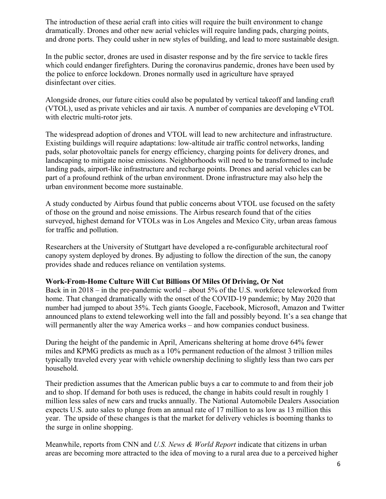The introduction of these aerial craft into cities will require the built environment to change dramatically. Drones and other new aerial vehicles will require landing pads, charging points, and drone ports. They could usher in new styles of building, and lead to more sustainable design.

In the public sector, drones are used in disaster response and by the fire service to tackle fires which could endanger firefighters. During the coronavirus pandemic, drones have been used by the police to enforce lockdown. Drones normally used in agriculture have sprayed disinfectant over cities.

Alongside drones, our future cities could also be populated by vertical takeoff and landing craft (VTOL), used as private vehicles and air taxis. A number of companies are developing eVTOL with electric multi-rotor jets.

The widespread adoption of drones and VTOL will lead to new architecture and infrastructure. Existing buildings will require adaptations: low-altitude air traffic control networks, landing pads, solar photovoltaic panels for energy efficiency, charging points for delivery drones, and landscaping to mitigate noise emissions. Neighborhoods will need to be transformed to include landing pads, airport-like infrastructure and recharge points. Drones and aerial vehicles can be part of a profound rethink of the urban environment. Drone infrastructure may also help the urban environment become more sustainable.

A study conducted by Airbus found that public concerns about VTOL use focused on the safety of those on the ground and noise emissions. The Airbus research found that of the cities surveyed, highest demand for VTOLs was in Los Angeles and Mexico City, urban areas famous for traffic and pollution.

Researchers at the University of Stuttgart have developed a re-configurable architectural roof canopy system deployed by drones. By adjusting to follow the direction of the sun, the canopy provides shade and reduces reliance on ventilation systems.

#### **Work-From-Home Culture Will Cut Billions Of Miles Of Driving, Or Not**

Back in in 2018 – in the pre-pandemic world – about 5% of the U.S. workforce teleworked from home. That changed dramatically with the onset of the COVID-19 pandemic; by May 2020 that number had jumped to about 35%. Tech giants Google, Facebook, Microsoft, Amazon and Twitter announced plans to extend teleworking well into the fall and possibly beyond. It's a sea change that will permanently alter the way America works – and how companies conduct business.

During the height of the pandemic in April, Americans sheltering at home drove 64% fewer miles and KPMG predicts as much as a 10% permanent reduction of the almost 3 trillion miles typically traveled every year with vehicle ownership declining to slightly less than two cars per household.

Their prediction assumes that the American public buys a car to commute to and from their job and to shop. If demand for both uses is reduced, the change in habits could result in roughly 1 million less sales of new cars and trucks annually. The National Automobile Dealers Association expects U.S. auto sales to plunge from an annual rate of 17 million to as low as 13 million this year. The upside of these changes is that the market for delivery vehicles is booming thanks to the surge in online shopping.

Meanwhile, reports from CNN and *U.S. News & World Report* indicate that citizens in urban areas are becoming more attracted to the idea of moving to a rural area due to a perceived higher